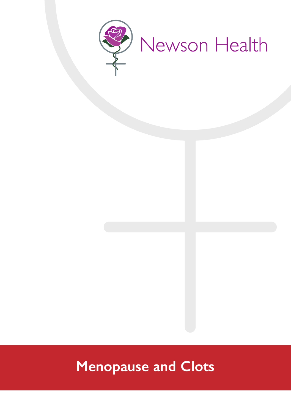

# **Menopause and Clots**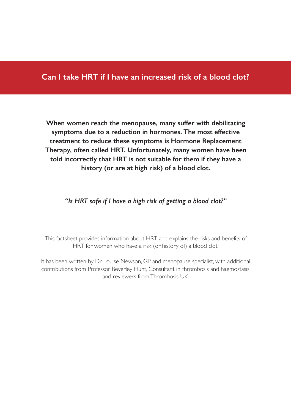## **Can I take HRT if I have an increased risk of a blood clot?**

**When women reach the menopause, many suffer with debilitating symptoms due to a reduction in hormones. The most effective treatment to reduce these symptoms is Hormone Replacement Therapy, often called HRT. Unfortunately, many women have been told incorrectly that HRT is not suitable for them if they have a history (or are at high risk) of a blood clot.**

## *"Is HRT safe if I have a high risk of getting a blood clot?"*

This factsheet provides information about HRT and explains the risks and benefits of HRT for women who have a risk (or history of) a blood clot.

It has been written by Dr Louise Newson, GP and menopause specialist, with additional contributions from Professor Beverley Hunt, Consultant in thrombosis and haemostasis, and reviewers from Thrombosis UK.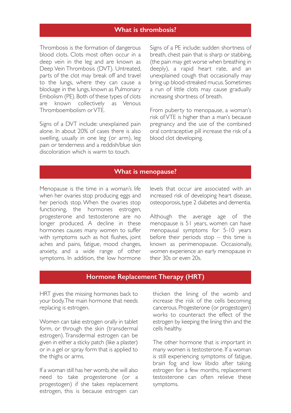### **What is thrombosis?**

Thrombosis is the formation of dangerous blood clots. Clots most often occur in a deep vein in the leg and are known as Deep Vein Thrombosis (DVT). Untreated, parts of the clot may break off and travel to the lungs, where they can cause a blockage in the lungs, known as Pulmonary Embolism (PE). Both of these types of clots are known collectively as Venous Thromboembolism or VTE.

Signs of a DVT include: unexplained pain alone. In about 20% of cases there is also swelling, usually in one leg (or arm), leg pain or tenderness and a reddish/blue skin discoloration which is warm to touch.

Signs of a PE include: sudden shortness of breath, chest pain that is sharp or stabbing, (the pain may get worse when breathing in deeply), a rapid heart rate, and an unexplained cough that occasionally may bring up blood-streaked mucus. Sometimes a run of little clots may cause gradually increasing shortness of breath.

From puberty to menopause, a woman's risk of VTE is higher than a man's because pregnancy and the use of the combined oral contraceptive pill increase the risk of a blood clot developing.

#### **What is menopause?**

Menopause is the time in a woman's life when her ovaries stop producing eggs and her periods stop. When the ovaries stop functioning, the hormones estrogen, progesterone and testosterone are no longer produced. A decline in these hormones causes many women to suffer with symptoms such as hot flushes, joint aches and pains, fatigue, mood changes, anxiety, and a wide range of other symptoms. In addition, the low hormone

levels that occur are associated with an increased risk of developing heart disease, osteoporosis, type 2 diabetes and dementia.

Although the average age of the menopause is 51 years, women can have menopausal symptoms for 5-10 years before their periods stop  $-$  this time is known as perimenopause. Occasionally, women experience an early menopause in their 30s or even 20s.

#### **Hormone Replacement Therapy (HRT)**

HRT gives the missing hormones back to your body. The main hormone that needs replacing is estrogen.

Women can take estrogen orally in tablet form, or through the skin (transdermal estrogen). Transdermal estrogen can be given in either a sticky patch (like a plaster) or in a gel or spray form that is applied to the thighs or arms.

If a woman still has her womb, she will also need to take progesterone (or a progestogen) if she takes replacement estrogen, this is because estrogen can thicken the lining of the womb and increase the risk of the cells becoming cancerous. Progesterone (or progestogen) works to counteract the effect of the estrogen by keeping the lining thin and the cells healthy.

The other hormone that is important in many women is testosterone. If a woman is still experiencing symptoms of fatigue, brain fog and low libido after taking estrogen for a few months, replacement testosterone can often relieve these symptoms.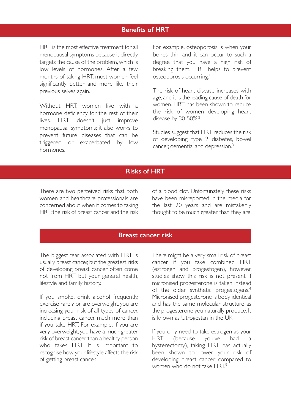## **Benefits of HRT**

HRT is the most effective treatment for all menopausal symptoms because it directly targets the cause of the problem, which is low levels of hormones. After a few months of taking HRT, most women feel significantly better and more like their previous selves again.

Without HRT, women live with a hormone deficiency for the rest of their lives. HRT doesn't just improve menopausal symptoms; it also works to prevent future diseases that can be triggered or exacerbated by low hormones.

For example, osteoporosis is when your bones thin and it can occur to such a degree that you have a high risk of breaking them. HRT helps to prevent osteoporosis occurring.<sup>1</sup>

The risk of heart disease increases with age, and it is the leading cause of death for women. HRT has been shown to reduce the risk of women developing heart disease by 30-50%.<sup>2</sup>

Studies suggest that HRT reduces the risk of developing type 2 diabetes, bowel cancer, dementia, and depression.<sup>3</sup>

#### **Risks of HRT**

There are two perceived risks that both women and healthcare professionals are concerned about when it comes to taking HRT: the risk of breast cancer and the risk of a blood clot. Unfortunately, these risks have been misreported in the media for the last 20 years and are mistakenly thought to be much greater than they are.

## **Breast cancer risk**

The biggest fear associated with HRT is usually breast cancer, but the greatest risks of developing breast cancer often come not from HRT but your general health, lifestyle and family history.

If you smoke, drink alcohol frequently, exercise rarely, or are overweight, you are increasing your risk of all types of cancer, including breast cancer, much more than if you take HRT. For example, if you are very overweight, you have a much greater risk of breast cancer than a healthy person who takes HRT. It is important to recognise how your lifestyle affects the risk of getting breast cancer.

There might be a very small risk of breast cancer if you take combined HRT (estrogen and progestogen), however, studies show this risk is not present if micronised progesterone is taken instead of the older synthetic progestogens.<sup>4</sup> Micronised progesterone is body identical and has the same molecular structure as the progesterone you naturally produce. It is known as Utrogestan in the UK.

If you only need to take estrogen as your HRT (because you've had a hysterectomy), taking HRT has actually been shown to lower your risk of developing breast cancer compared to women who do not take HRT<sup>5</sup>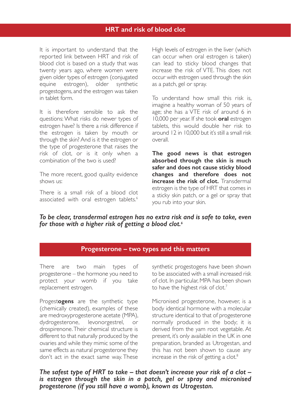#### **HRT and risk of blood clot**

It is important to understand that the reported link between HRT and risk of blood clot is based on a study that was twenty years ago, where women were given older types of estrogen (conjugated equine estrogen), older synthetic progestogens, and the estrogen was taken in tablet form.

It is therefore sensible to ask the questions: What risks do newer types of estrogen have? Is there a risk difference if the estrogen is taken by mouth or through the skin? And is it the estrogen or the type of progesterone that raises the risk of clot, or is it only when a combination of the two is used?

The more recent, good quality evidence shows us:

There is a small risk of a blood clot associated with oral estrogen tablets.<sup>6</sup> High levels of estrogen in the liver (which can occur when oral estrogen is taken) can lead to sticky blood changes that increase the risk of VTE. This does not occur with estrogen used through the skin as a patch, gel or spray.

To understand how small this risk is, imagine a healthy woman of 50 years of age; she has a VTE risk of around 6 in 10,000 per year. If she took **oral** estrogen tablets, this would double her risk to around 12 in 10,000 but it's still a small risk overall.

**The good news is that estrogen absorbed through the skin is much safer and does not cause sticky blood changes and therefore does not increase the risk of clot.** Transdermal estrogen is the type of HRT that comes in a sticky skin patch, or a gel or spray that you rub into your skin.

*To be clear, transdermal estrogen has no extra risk and is safe to take, even for those with a higher risk of getting a blood clot.<sup>6</sup>*

#### **Progesterone – two types and this matters**

There are two main types of progesterone – the hormone you need to protect your womb if you take replacement estrogen.

Progest**ogens** are the synthetic type (chemically created), examples of these are medroxyprogesterone acetate (MPA), dydrogesterone, levonorgestrel, or drospirenone. Their chemical structure is different to that naturally produced by the ovaries and while they mimic some of the same effects as natural progesterone they don't act in the exact same way. These synthetic progestogens have been shown to be associated with a small increased risk of clot. In particular, MPA has been shown to have the highest risk of clot.<sup>7</sup>

Micronised progesterone, however, is a body identical hormone with a molecular structure identical to that of progesterone normally produced in the body; it is derived from the yam root vegetable. At present, it's only available in the UK in one preparation, branded as Utrogestan, and this has not been shown to cause any increase in the risk of getting a clot.<sup>8</sup>

*The safest type of HRT to take – that doesn't increase your risk of a clot – is estrogen through the skin in a patch, gel or spray and micronised progesterone (if you still have a womb), known as Utrogestan.*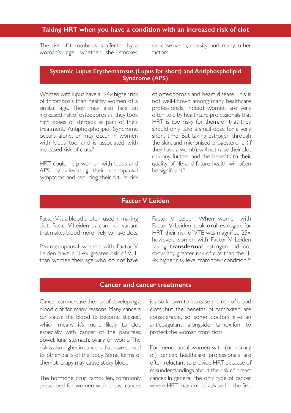#### **Taking HRT when you have a condition with an increased risk of clot**

The risk of thrombosis is affected by a woman's age, whether she smokes, varicose veins, obesity and many other factors.

#### **Systemic Lupus Erythematosus (Lupus for short) and Antiphospholipid Syndrome (APS)**

Women with lupus have a 3-4x higher risk of thrombosis than healthy women of a similar age. They may also face an increased risk of osteoporosis if they took high doses of steroids as part of their treatment. Antiphospholipid Syndrome occurs alone, or may occur in women with lupus too, and is associated with increased risk of clots.<sup>9</sup>

HRT could help women with lupus and APS by alleviating their menopausal symptoms and reducing their future risk of osteoporosis and heart disease. This is not well-known among many healthcare professionals, indeed women are very often told by healthcare professionals that HRT is too risky for them, or that they should only take a small dose for a very short time. But taking estrogen through the skin, and micronised progesterone (if they have a womb), will not raise their clot risk any further and the benefits to their quality of life and future health will often be significant.<sup>9</sup>

#### **Factor V Leiden**

Factor V is a blood protein used in making clots. Factor V Leiden is a common variant that makes blood more likely to have clots.

Postmenopausal women with Factor V Leiden have a 3-4x greater risk of VTE than women their age who do not have

Factor V Leiden. When women with Factor V Leiden took **oral** estrogen, for HRT, their risk of VTE was magnified 25x, however, women with Factor V Leiden taking **transdermal** estrogen did not show any greater risk of clot than the 3- 4x higher risk level from their condition.<sup>10</sup>

#### **Cancer and cancer treatments**

Cancer can increase the risk of developing a blood clot for many reasons. Many cancers can cause the blood to become 'stickier', which means it's more likely to clot, especially with cancer of the pancreas, bowel, lung, stomach, ovary, or womb. The risk is also higher in cancers that have spread to other parts of the body. Some forms of chemotherapy may cause sticky blood.

The hormone drug, tamoxifen, commonly prescribed for women with breast cancer, is also known to increase the risk of blood clots, but the benefits of tamoxifen are considerable, so some doctors give an anticoagulant alongside tamoxifen to protect the woman from clots.

For menopausal women with (or history of) cancer, healthcare professionals are often reluctant to provide HRT because of misunderstandings about the risk of breast cancer. In general, the only type of cancer where HRT may not be advised in the first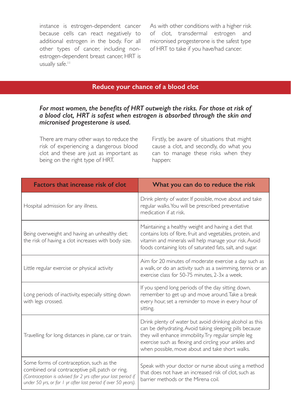instance is estrogen-dependent cancer because cells can react negatively to additional estrogen in the body. For all other types of cancer, including nonestrogen-dependent breast cancer, HRT is usually safe.<sup>11</sup>

As with other conditions with a higher risk of clot, transdermal estrogen and micronised progesterone is the safest type of HRT to take if you have/had cancer.

## **Reduce your chance of a blood clot**

#### *For most women, the benefits of HRT outweigh the risks. For those at risk of a blood clot, HRT is safest when estrogen is absorbed through the skin and micronised progesterone is used.*

There are many other ways to reduce the risk of experiencing a dangerous blood clot and these are just as important as being on the right type of HRT.

Firstly, be aware of situations that might cause a clot, and secondly, do what you can to manage these risks when they happen:

| <b>Factors that increase risk of clot</b>                                                                                                                                                                                       | What you can do to reduce the risk                                                                                                                                                                                                                                                      |
|---------------------------------------------------------------------------------------------------------------------------------------------------------------------------------------------------------------------------------|-----------------------------------------------------------------------------------------------------------------------------------------------------------------------------------------------------------------------------------------------------------------------------------------|
| Hospital admission for any illness.                                                                                                                                                                                             | Drink plenty of water. If possible, move about and take<br>regular walks. You will be prescribed preventative<br>medication if at risk.                                                                                                                                                 |
| Being overweight and having an unhealthy diet;<br>the risk of having a clot increases with body size.                                                                                                                           | Maintaining a healthy weight and having a diet that<br>contains lots of fibre, fruit and vegetables, protein, and<br>vitamin and minerals will help manage your risk. Avoid<br>foods containing lots of saturated fats, salt, and sugar.                                                |
| Little regular exercise or physical activity                                                                                                                                                                                    | Aim for 20 minutes of moderate exercise a day such as<br>a walk, or do an activity such as a swimming, tennis or an<br>exercise class for 50-75 minutes, 2-3x a week.                                                                                                                   |
| Long periods of inactivity, especially sitting down<br>with legs crossed.                                                                                                                                                       | If you spend long periods of the day sitting down,<br>remember to get up and move around. Take a break<br>every hour, set a reminder to move in every hour of<br>sitting.                                                                                                               |
| Travelling for long distances in plane, car or train.                                                                                                                                                                           | Drink plenty of water but avoid drinking alcohol as this<br>can be dehydrating. Avoid taking sleeping pills because<br>they will enhance immobility. Try regular simple leg<br>exercise such as flexing and circling your ankles and<br>when possible, move about and take short walks. |
| Some forms of contraception, such as the<br>combined oral contraceptive pill, patch or ring.<br>(Contraception is advised for 2 yrs after your last period if<br>under 50 yrs, or for 1 yr after last period if over 50 years). | Speak with your doctor or nurse about using a method<br>that does not have an increased risk of clot, such as<br>barrier methods or the Mirena coil.                                                                                                                                    |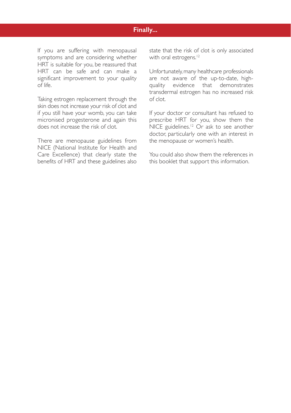## **Finally...**

If you are suffering with menopausal symptoms and are considering whether HRT is suitable for you, be reassured that HRT can be safe and can make a significant improvement to your quality of life.

Taking estrogen replacement through the skin does not increase your risk of clot and if you still have your womb, you can take micronised progesterone and again this does not increase the risk of clot.

There are menopause guidelines from NICE (National Institute for Health and Care Excellence) that clearly state the benefits of HRT and these guidelines also state that the risk of clot is only associated with oral estrogens.<sup>12</sup>

Unfortunately, many healthcare professionals are not aware of the up-to-date, highquality evidence that demonstrates transdermal estrogen has no increased risk of clot.

If your doctor or consultant has refused to prescribe HRT for you, show them the NICE guidelines.<sup>12</sup> Or ask to see another doctor, particularly one with an interest in the menopause or women's health.

You could also show them the references in this booklet that support this information.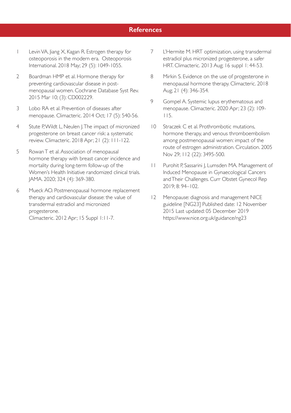#### **References**

- 1 Levin VA, Jiang X, Kagan R. Estrogen therapy for osteoporosis in the modern era. Osteoporosis International. 2018 May; 29 (5): 1049-1055.
- 2 Boardman HMP et al. Hormone therapy for preventing cardiovascular disease in postmenopausal women. Cochrane Database Syst Rev. 2015 Mar 10; (3): CD002229.
- 3 Lobo RA et al. Prevention of diseases after menopause. Climacteric. 2014 Oct; 17 (5): 540-56.
- 4 Stute P, Wildt L, Neulen J. The impact of micronized progesterone on breast cancer risk: a systematic review. Climacteric. 2018 Apr; 21 (2): 111-122.
- 5 Rowan T et al. Association of menopausal hormone therapy with breast cancer incidence and mortality during long-term follow-up of the Women's Health Initiative randomized clinical trials. JAMA. 2020; 324 (4): 369-380.
- 6 Mueck AO. Postmenopausal hormone replacement therapy and cardiovascular disease: the value of transdermal estradiol and micronized progesterone. Climacteric. 2012 Apr; 15 Suppl 1:11-7.
- 7 L'Hermite M. HRT optimization, using transdermal estradiol plus micronized progesterone, a safer HRT. Climacteric. 2013 Aug; 16 suppl 1: 44-53.
- 8 Mirkin S. Evidence on the use of progesterone in menopausal hormone therapy. Climacteric. 2018 Aug; 21 (4): 346-354.
- 9 Gompel A. Systemic lupus erythematosus and menopause. Climacteric. 2020 Apr; 23 (2): 109- 115.
- 10 Straczek C et al. Prothrombotic mutations, hormone therapy, and venous thromboembolism among postmenopausal women: impact of the route of estrogen administration. Circulation. 2005 Nov 29; 112 (22): 3495-500.
- 11 Purohit P, Sassarini J, Lumsden MA. Management of Induced Menopause in Gynaecological Cancers and Their Challenges. Curr Obstet Gynecol Rep 2019; 8: 94–102.
- 12 Menopause: diagnosis and management NICE guideline [NG23] Published date: 12 November 2015 Last updated: 05 December 2019 https://www.nice.org.uk/guidance/ng23